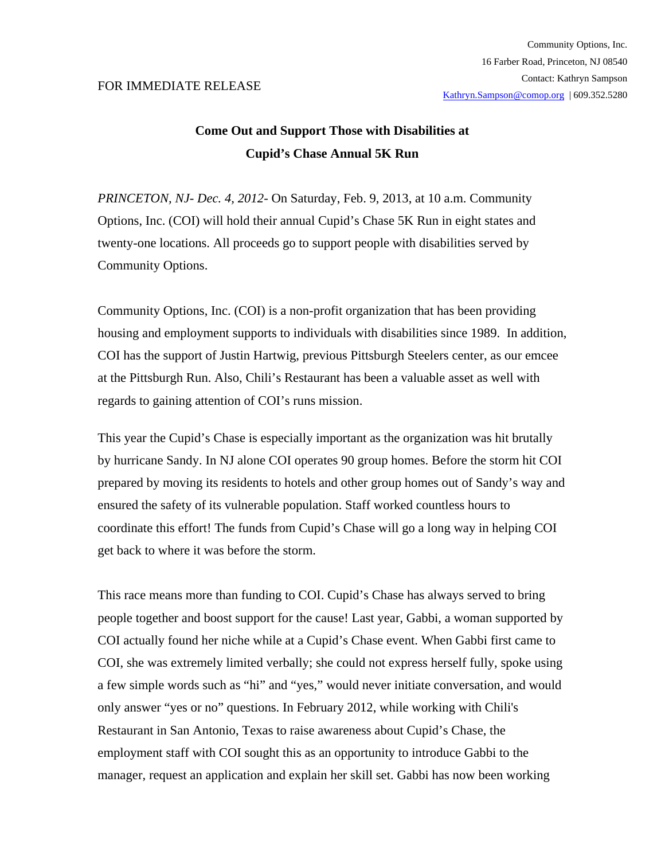## FOR IMMEDIATE RELEASE

## **Come Out and Support Those with Disabilities at Cupid's Chase Annual 5K Run**

*PRINCETON, NJ- Dec. 4, 2012-* On Saturday, Feb. 9, 2013, at 10 a.m. Community Options, Inc. (COI) will hold their annual Cupid's Chase 5K Run in eight states and twenty-one locations. All proceeds go to support people with disabilities served by Community Options.

Community Options, Inc. (COI) is a non-profit organization that has been providing housing and employment supports to individuals with disabilities since 1989. In addition, COI has the support of Justin Hartwig, previous Pittsburgh Steelers center, as our emcee at the Pittsburgh Run. Also, Chili's Restaurant has been a valuable asset as well with regards to gaining attention of COI's runs mission.

This year the Cupid's Chase is especially important as the organization was hit brutally by hurricane Sandy. In NJ alone COI operates 90 group homes. Before the storm hit COI prepared by moving its residents to hotels and other group homes out of Sandy's way and ensured the safety of its vulnerable population. Staff worked countless hours to coordinate this effort! The funds from Cupid's Chase will go a long way in helping COI get back to where it was before the storm.

This race means more than funding to COI. Cupid's Chase has always served to bring people together and boost support for the cause! Last year, Gabbi, a woman supported by COI actually found her niche while at a Cupid's Chase event. When Gabbi first came to COI, she was extremely limited verbally; she could not express herself fully, spoke using a few simple words such as "hi" and "yes," would never initiate conversation, and would only answer "yes or no" questions. In February 2012, while working with Chili's Restaurant in San Antonio, Texas to raise awareness about Cupid's Chase, the employment staff with COI sought this as an opportunity to introduce Gabbi to the manager, request an application and explain her skill set. Gabbi has now been working